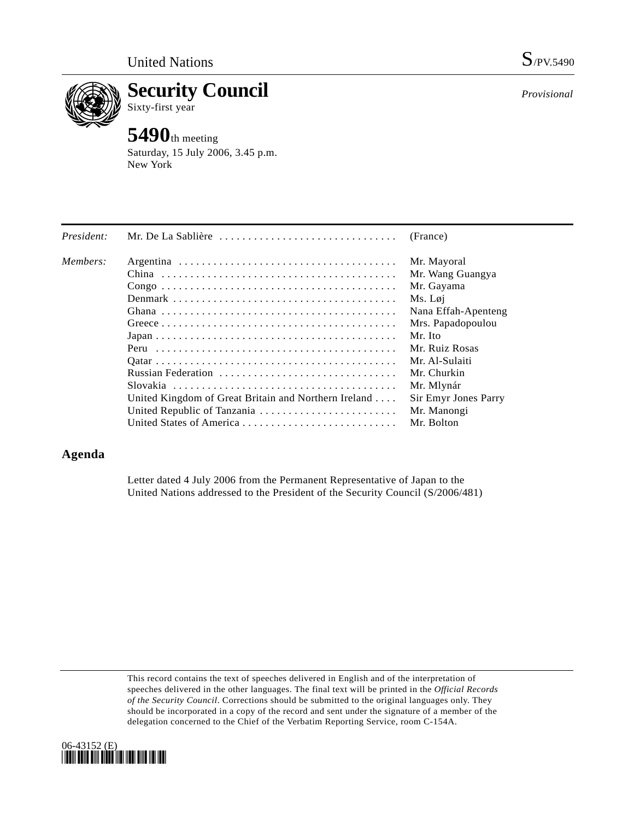

**Security Council**  Sixty-first year

# **5490**th meeting

Saturday, 15 July 2006, 3.45 p.m. New York

| President: | Mr. De La Sablière                                   | (France)             |
|------------|------------------------------------------------------|----------------------|
| Members:   |                                                      | Mr. Mayoral          |
|            |                                                      | Mr. Wang Guangya     |
|            |                                                      | Mr. Gayama           |
|            |                                                      | Ms. Løi              |
|            |                                                      | Nana Effah-Apenteng  |
|            |                                                      | Mrs. Papadopoulou    |
|            |                                                      | Mr. Ito              |
|            |                                                      | Mr. Ruiz Rosas       |
|            |                                                      | Mr. Al-Sulaiti       |
|            | Russian Federation                                   | Mr. Churkin          |
|            |                                                      | Mr. Mlynár           |
|            | United Kingdom of Great Britain and Northern Ireland | Sir Emyr Jones Parry |
|            | United Republic of Tanzania                          | Mr. Manongi          |
|            |                                                      | Mr. Bolton           |

## **Agenda**

Letter dated 4 July 2006 from the Permanent Representative of Japan to the United Nations addressed to the President of the Security Council (S/2006/481)

This record contains the text of speeches delivered in English and of the interpretation of speeches delivered in the other languages. The final text will be printed in the *Official Records of the Security Council*. Corrections should be submitted to the original languages only. They should be incorporated in a copy of the record and sent under the signature of a member of the delegation concerned to the Chief of the Verbatim Reporting Service, room C-154A.



*Provisional*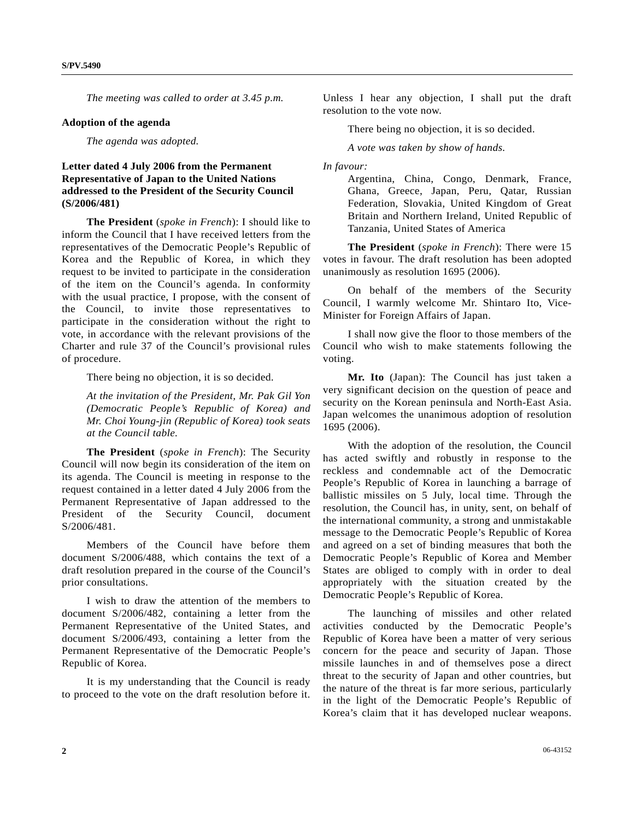*The meeting was called to order at 3.45 p.m.* 

#### **Adoption of the agenda**

 *The agenda was adopted.* 

### **Letter dated 4 July 2006 from the Permanent Representative of Japan to the United Nations addressed to the President of the Security Council (S/2006/481)**

**The President** (*spoke in French*): I should like to inform the Council that I have received letters from the representatives of the Democratic People's Republic of Korea and the Republic of Korea, in which they request to be invited to participate in the consideration of the item on the Council's agenda. In conformity with the usual practice, I propose, with the consent of the Council, to invite those representatives to participate in the consideration without the right to vote, in accordance with the relevant provisions of the Charter and rule 37 of the Council's provisional rules of procedure.

There being no objection, it is so decided.

*At the invitation of the President, Mr. Pak Gil Yon (Democratic People's Republic of Korea) and Mr. Choi Young-jin (Republic of Korea) took seats at the Council table.* 

**The President** (*spoke in French*): The Security Council will now begin its consideration of the item on its agenda. The Council is meeting in response to the request contained in a letter dated 4 July 2006 from the Permanent Representative of Japan addressed to the President of the Security Council, document S/2006/481.

 Members of the Council have before them document S/2006/488, which contains the text of a draft resolution prepared in the course of the Council's prior consultations.

 I wish to draw the attention of the members to document S/2006/482, containing a letter from the Permanent Representative of the United States, and document S/2006/493, containing a letter from the Permanent Representative of the Democratic People's Republic of Korea.

 It is my understanding that the Council is ready to proceed to the vote on the draft resolution before it. Unless I hear any objection, I shall put the draft resolution to the vote now.

There being no objection, it is so decided.

*A vote was taken by show of hands.* 

#### *In favour:*

 **The President** (*spoke in French*): There were 15 votes in favour. The draft resolution has been adopted unanimously as resolution 1695 (2006).

 On behalf of the members of the Security Council, I warmly welcome Mr. Shintaro Ito, Vice-Minister for Foreign Affairs of Japan.

 I shall now give the floor to those members of the Council who wish to make statements following the voting.

 **Mr. Ito** (Japan): The Council has just taken a very significant decision on the question of peace and security on the Korean peninsula and North-East Asia. Japan welcomes the unanimous adoption of resolution 1695 (2006).

 With the adoption of the resolution, the Council has acted swiftly and robustly in response to the reckless and condemnable act of the Democratic People's Republic of Korea in launching a barrage of ballistic missiles on 5 July, local time. Through the resolution, the Council has, in unity, sent, on behalf of the international community, a strong and unmistakable message to the Democratic People's Republic of Korea and agreed on a set of binding measures that both the Democratic People's Republic of Korea and Member States are obliged to comply with in order to deal appropriately with the situation created by the Democratic People's Republic of Korea.

 The launching of missiles and other related activities conducted by the Democratic People's Republic of Korea have been a matter of very serious concern for the peace and security of Japan. Those missile launches in and of themselves pose a direct threat to the security of Japan and other countries, but the nature of the threat is far more serious, particularly in the light of the Democratic People's Republic of Korea's claim that it has developed nuclear weapons.

Argentina, China, Congo, Denmark, France, Ghana, Greece, Japan, Peru, Qatar, Russian Federation, Slovakia, United Kingdom of Great Britain and Northern Ireland, United Republic of Tanzania, United States of America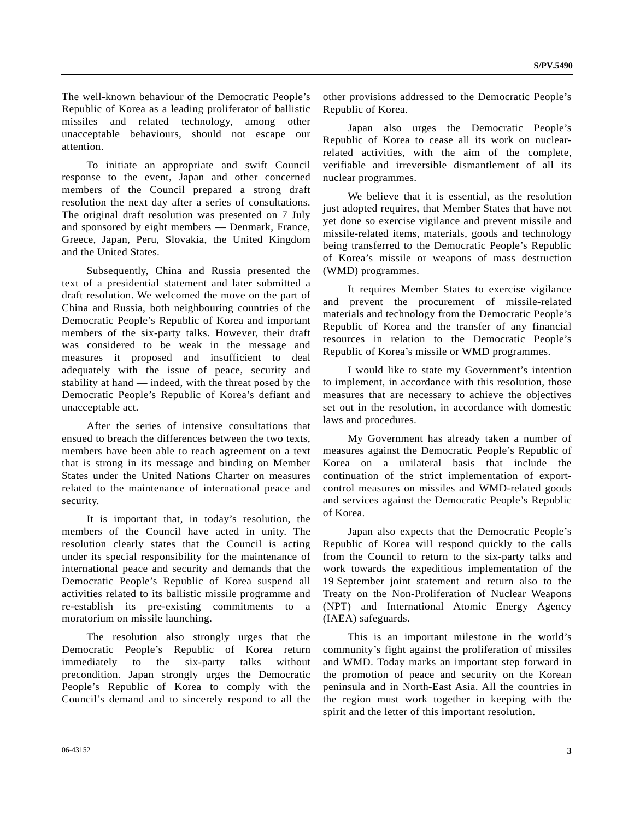The well-known behaviour of the Democratic People's Republic of Korea as a leading proliferator of ballistic missiles and related technology, among other unacceptable behaviours, should not escape our attention.

 To initiate an appropriate and swift Council response to the event, Japan and other concerned members of the Council prepared a strong draft resolution the next day after a series of consultations. The original draft resolution was presented on 7 July and sponsored by eight members — Denmark, France, Greece, Japan, Peru, Slovakia, the United Kingdom and the United States.

 Subsequently, China and Russia presented the text of a presidential statement and later submitted a draft resolution. We welcomed the move on the part of China and Russia, both neighbouring countries of the Democratic People's Republic of Korea and important members of the six-party talks. However, their draft was considered to be weak in the message and measures it proposed and insufficient to deal adequately with the issue of peace, security and stability at hand — indeed, with the threat posed by the Democratic People's Republic of Korea's defiant and unacceptable act.

 After the series of intensive consultations that ensued to breach the differences between the two texts, members have been able to reach agreement on a text that is strong in its message and binding on Member States under the United Nations Charter on measures related to the maintenance of international peace and security.

It is important that, in today's resolution, the members of the Council have acted in unity. The resolution clearly states that the Council is acting under its special responsibility for the maintenance of international peace and security and demands that the Democratic People's Republic of Korea suspend all activities related to its ballistic missile programme and re-establish its pre-existing commitments to a moratorium on missile launching.

 The resolution also strongly urges that the Democratic People's Republic of Korea return immediately to the six-party talks without precondition. Japan strongly urges the Democratic People's Republic of Korea to comply with the Council's demand and to sincerely respond to all the other provisions addressed to the Democratic People's Republic of Korea.

 Japan also urges the Democratic People's Republic of Korea to cease all its work on nuclearrelated activities, with the aim of the complete, verifiable and irreversible dismantlement of all its nuclear programmes.

 We believe that it is essential, as the resolution just adopted requires, that Member States that have not yet done so exercise vigilance and prevent missile and missile-related items, materials, goods and technology being transferred to the Democratic People's Republic of Korea's missile or weapons of mass destruction (WMD) programmes.

 It requires Member States to exercise vigilance and prevent the procurement of missile-related materials and technology from the Democratic People's Republic of Korea and the transfer of any financial resources in relation to the Democratic People's Republic of Korea's missile or WMD programmes.

 I would like to state my Government's intention to implement, in accordance with this resolution, those measures that are necessary to achieve the objectives set out in the resolution, in accordance with domestic laws and procedures.

 My Government has already taken a number of measures against the Democratic People's Republic of Korea on a unilateral basis that include the continuation of the strict implementation of exportcontrol measures on missiles and WMD-related goods and services against the Democratic People's Republic of Korea.

 Japan also expects that the Democratic People's Republic of Korea will respond quickly to the calls from the Council to return to the six-party talks and work towards the expeditious implementation of the 19 September joint statement and return also to the Treaty on the Non-Proliferation of Nuclear Weapons (NPT) and International Atomic Energy Agency (IAEA) safeguards.

 This is an important milestone in the world's community's fight against the proliferation of missiles and WMD. Today marks an important step forward in the promotion of peace and security on the Korean peninsula and in North-East Asia. All the countries in the region must work together in keeping with the spirit and the letter of this important resolution.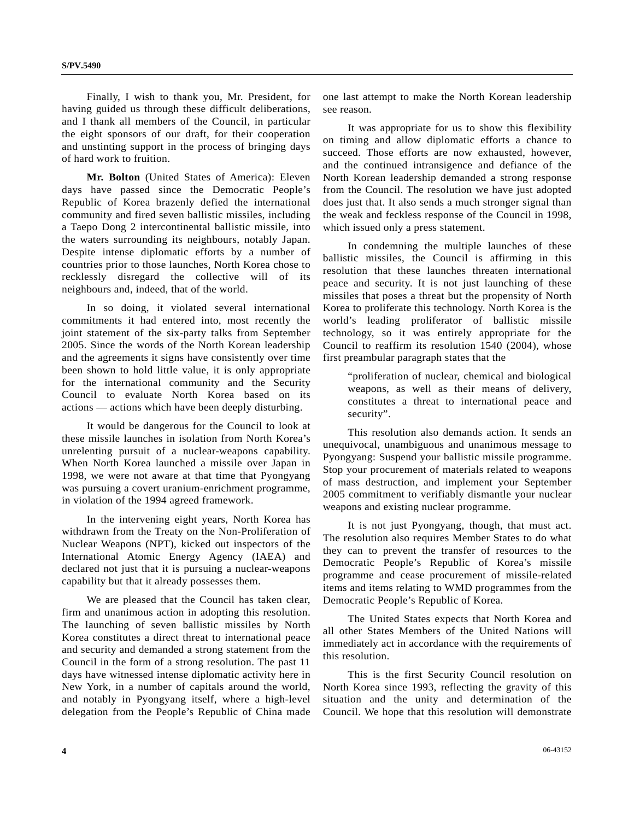Finally, I wish to thank you, Mr. President, for having guided us through these difficult deliberations, and I thank all members of the Council, in particular the eight sponsors of our draft, for their cooperation and unstinting support in the process of bringing days of hard work to fruition.

**Mr. Bolton** (United States of America): Eleven days have passed since the Democratic People's Republic of Korea brazenly defied the international community and fired seven ballistic missiles, including a Taepo Dong 2 intercontinental ballistic missile, into the waters surrounding its neighbours, notably Japan. Despite intense diplomatic efforts by a number of countries prior to those launches, North Korea chose to recklessly disregard the collective will of its neighbours and, indeed, that of the world.

 In so doing, it violated several international commitments it had entered into, most recently the joint statement of the six-party talks from September 2005. Since the words of the North Korean leadership and the agreements it signs have consistently over time been shown to hold little value, it is only appropriate for the international community and the Security Council to evaluate North Korea based on its actions — actions which have been deeply disturbing.

 It would be dangerous for the Council to look at these missile launches in isolation from North Korea's unrelenting pursuit of a nuclear-weapons capability. When North Korea launched a missile over Japan in 1998, we were not aware at that time that Pyongyang was pursuing a covert uranium-enrichment programme, in violation of the 1994 agreed framework.

 In the intervening eight years, North Korea has withdrawn from the Treaty on the Non-Proliferation of Nuclear Weapons (NPT), kicked out inspectors of the International Atomic Energy Agency (IAEA) and declared not just that it is pursuing a nuclear-weapons capability but that it already possesses them.

 We are pleased that the Council has taken clear, firm and unanimous action in adopting this resolution. The launching of seven ballistic missiles by North Korea constitutes a direct threat to international peace and security and demanded a strong statement from the Council in the form of a strong resolution. The past 11 days have witnessed intense diplomatic activity here in New York, in a number of capitals around the world, and notably in Pyongyang itself, where a high-level delegation from the People's Republic of China made one last attempt to make the North Korean leadership see reason.

 It was appropriate for us to show this flexibility on timing and allow diplomatic efforts a chance to succeed. Those efforts are now exhausted, however, and the continued intransigence and defiance of the North Korean leadership demanded a strong response from the Council. The resolution we have just adopted does just that. It also sends a much stronger signal than the weak and feckless response of the Council in 1998, which issued only a press statement.

 In condemning the multiple launches of these ballistic missiles, the Council is affirming in this resolution that these launches threaten international peace and security. It is not just launching of these missiles that poses a threat but the propensity of North Korea to proliferate this technology. North Korea is the world's leading proliferator of ballistic missile technology, so it was entirely appropriate for the Council to reaffirm its resolution 1540 (2004), whose first preambular paragraph states that the

 "proliferation of nuclear, chemical and biological weapons, as well as their means of delivery, constitutes a threat to international peace and security".

 This resolution also demands action. It sends an unequivocal, unambiguous and unanimous message to Pyongyang: Suspend your ballistic missile programme. Stop your procurement of materials related to weapons of mass destruction, and implement your September 2005 commitment to verifiably dismantle your nuclear weapons and existing nuclear programme.

 It is not just Pyongyang, though, that must act. The resolution also requires Member States to do what they can to prevent the transfer of resources to the Democratic People's Republic of Korea's missile programme and cease procurement of missile-related items and items relating to WMD programmes from the Democratic People's Republic of Korea.

 The United States expects that North Korea and all other States Members of the United Nations will immediately act in accordance with the requirements of this resolution.

 This is the first Security Council resolution on North Korea since 1993, reflecting the gravity of this situation and the unity and determination of the Council. We hope that this resolution will demonstrate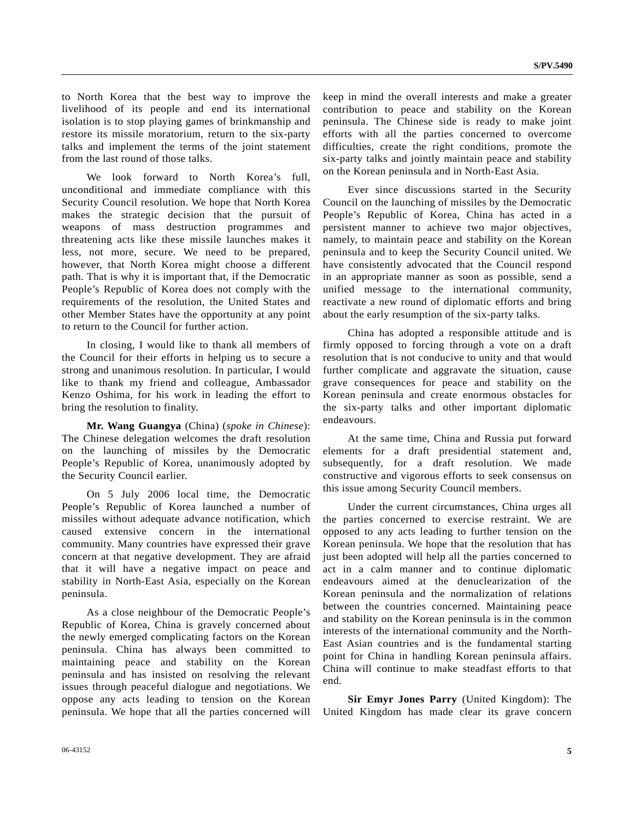to North Korea that the best way to improve the livelihood of its people and end its international isolation is to stop playing games of brinkmanship and restore its missile moratorium, return to the six-party talks and implement the terms of the joint statement from the last round of those talks.

 We look forward to North Korea's full, unconditional and immediate compliance with this Security Council resolution. We hope that North Korea makes the strategic decision that the pursuit of weapons of mass destruction programmes and threatening acts like these missile launches makes it less, not more, secure. We need to be prepared, however, that North Korea might choose a different path. That is why it is important that, if the Democratic People's Republic of Korea does not comply with the requirements of the resolution, the United States and other Member States have the opportunity at any point to return to the Council for further action.

 In closing, I would like to thank all members of the Council for their efforts in helping us to secure a strong and unanimous resolution. In particular, I would like to thank my friend and colleague, Ambassador Kenzo Oshima, for his work in leading the effort to bring the resolution to finality.

**Mr. Wang Guangya** (China) (*spoke in Chinese*): The Chinese delegation welcomes the draft resolution on the launching of missiles by the Democratic People's Republic of Korea, unanimously adopted by the Security Council earlier.

 On 5 July 2006 local time, the Democratic People's Republic of Korea launched a number of missiles without adequate advance notification, which caused extensive concern in the international community. Many countries have expressed their grave concern at that negative development. They are afraid that it will have a negative impact on peace and stability in North-East Asia, especially on the Korean peninsula.

 As a close neighbour of the Democratic People's Republic of Korea, China is gravely concerned about the newly emerged complicating factors on the Korean peninsula. China has always been committed to maintaining peace and stability on the Korean peninsula and has insisted on resolving the relevant issues through peaceful dialogue and negotiations. We oppose any acts leading to tension on the Korean peninsula. We hope that all the parties concerned will keep in mind the overall interests and make a greater contribution to peace and stability on the Korean peninsula. The Chinese side is ready to make joint efforts with all the parties concerned to overcome difficulties, create the right conditions, promote the six-party talks and jointly maintain peace and stability on the Korean peninsula and in North-East Asia.

 Ever since discussions started in the Security Council on the launching of missiles by the Democratic People's Republic of Korea, China has acted in a persistent manner to achieve two major objectives, namely, to maintain peace and stability on the Korean peninsula and to keep the Security Council united. We have consistently advocated that the Council respond in an appropriate manner as soon as possible, send a unified message to the international community, reactivate a new round of diplomatic efforts and bring about the early resumption of the six-party talks.

 China has adopted a responsible attitude and is firmly opposed to forcing through a vote on a draft resolution that is not conducive to unity and that would further complicate and aggravate the situation, cause grave consequences for peace and stability on the Korean peninsula and create enormous obstacles for the six-party talks and other important diplomatic endeavours.

 At the same time, China and Russia put forward elements for a draft presidential statement and, subsequently, for a draft resolution. We made constructive and vigorous efforts to seek consensus on this issue among Security Council members.

 Under the current circumstances, China urges all the parties concerned to exercise restraint. We are opposed to any acts leading to further tension on the Korean peninsula. We hope that the resolution that has just been adopted will help all the parties concerned to act in a calm manner and to continue diplomatic endeavours aimed at the denuclearization of the Korean peninsula and the normalization of relations between the countries concerned. Maintaining peace and stability on the Korean peninsula is in the common interests of the international community and the North-East Asian countries and is the fundamental starting point for China in handling Korean peninsula affairs. China will continue to make steadfast efforts to that end.

**Sir Emyr Jones Parry** (United Kingdom): The United Kingdom has made clear its grave concern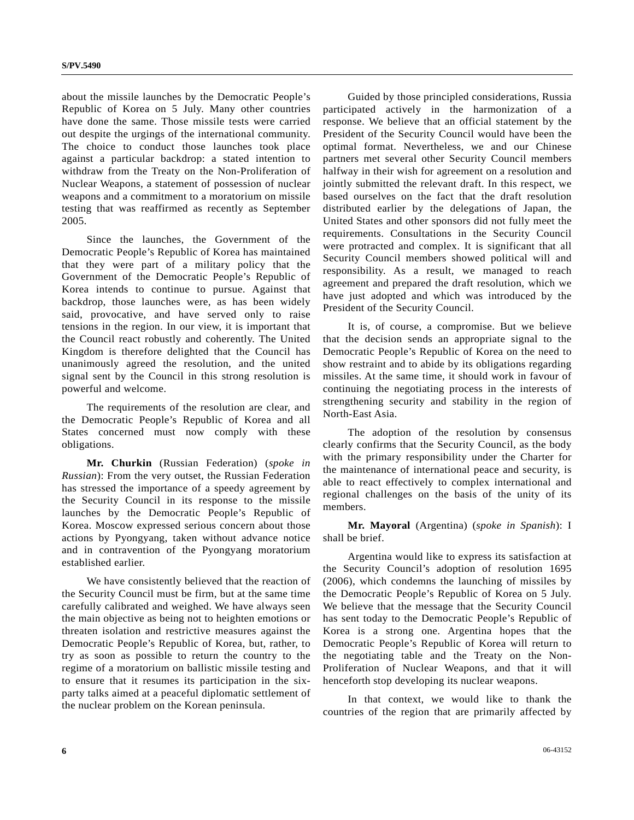about the missile launches by the Democratic People's Republic of Korea on 5 July. Many other countries have done the same. Those missile tests were carried out despite the urgings of the international community. The choice to conduct those launches took place against a particular backdrop: a stated intention to withdraw from the Treaty on the Non-Proliferation of Nuclear Weapons, a statement of possession of nuclear weapons and a commitment to a moratorium on missile testing that was reaffirmed as recently as September 2005.

 Since the launches, the Government of the Democratic People's Republic of Korea has maintained that they were part of a military policy that the Government of the Democratic People's Republic of Korea intends to continue to pursue. Against that backdrop, those launches were, as has been widely said, provocative, and have served only to raise tensions in the region. In our view, it is important that the Council react robustly and coherently. The United Kingdom is therefore delighted that the Council has unanimously agreed the resolution, and the united signal sent by the Council in this strong resolution is powerful and welcome.

 The requirements of the resolution are clear, and the Democratic People's Republic of Korea and all States concerned must now comply with these obligations.

**Mr. Churkin** (Russian Federation) (*spoke in Russian*): From the very outset, the Russian Federation has stressed the importance of a speedy agreement by the Security Council in its response to the missile launches by the Democratic People's Republic of Korea. Moscow expressed serious concern about those actions by Pyongyang, taken without advance notice and in contravention of the Pyongyang moratorium established earlier.

 We have consistently believed that the reaction of the Security Council must be firm, but at the same time carefully calibrated and weighed. We have always seen the main objective as being not to heighten emotions or threaten isolation and restrictive measures against the Democratic People's Republic of Korea, but, rather, to try as soon as possible to return the country to the regime of a moratorium on ballistic missile testing and to ensure that it resumes its participation in the sixparty talks aimed at a peaceful diplomatic settlement of the nuclear problem on the Korean peninsula.

 Guided by those principled considerations, Russia participated actively in the harmonization of a response. We believe that an official statement by the President of the Security Council would have been the optimal format. Nevertheless, we and our Chinese partners met several other Security Council members halfway in their wish for agreement on a resolution and jointly submitted the relevant draft. In this respect, we based ourselves on the fact that the draft resolution distributed earlier by the delegations of Japan, the United States and other sponsors did not fully meet the requirements. Consultations in the Security Council were protracted and complex. It is significant that all Security Council members showed political will and responsibility. As a result, we managed to reach agreement and prepared the draft resolution, which we have just adopted and which was introduced by the President of the Security Council.

 It is, of course, a compromise. But we believe that the decision sends an appropriate signal to the Democratic People's Republic of Korea on the need to show restraint and to abide by its obligations regarding missiles. At the same time, it should work in favour of continuing the negotiating process in the interests of strengthening security and stability in the region of North-East Asia.

 The adoption of the resolution by consensus clearly confirms that the Security Council, as the body with the primary responsibility under the Charter for the maintenance of international peace and security, is able to react effectively to complex international and regional challenges on the basis of the unity of its members.

**Mr. Mayoral** (Argentina) (*spoke in Spanish*): I shall be brief.

 Argentina would like to express its satisfaction at the Security Council's adoption of resolution 1695 (2006), which condemns the launching of missiles by the Democratic People's Republic of Korea on 5 July. We believe that the message that the Security Council has sent today to the Democratic People's Republic of Korea is a strong one. Argentina hopes that the Democratic People's Republic of Korea will return to the negotiating table and the Treaty on the Non-Proliferation of Nuclear Weapons, and that it will henceforth stop developing its nuclear weapons.

 In that context, we would like to thank the countries of the region that are primarily affected by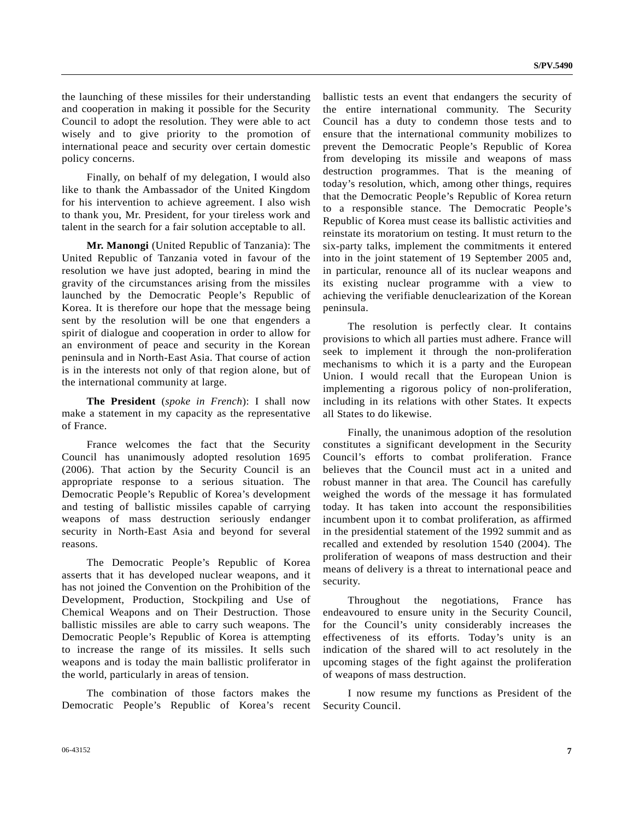the launching of these missiles for their understanding and cooperation in making it possible for the Security Council to adopt the resolution. They were able to act wisely and to give priority to the promotion of international peace and security over certain domestic policy concerns.

 Finally, on behalf of my delegation, I would also like to thank the Ambassador of the United Kingdom for his intervention to achieve agreement. I also wish to thank you, Mr. President, for your tireless work and talent in the search for a fair solution acceptable to all.

**Mr. Manongi** (United Republic of Tanzania): The United Republic of Tanzania voted in favour of the resolution we have just adopted, bearing in mind the gravity of the circumstances arising from the missiles launched by the Democratic People's Republic of Korea. It is therefore our hope that the message being sent by the resolution will be one that engenders a spirit of dialogue and cooperation in order to allow for an environment of peace and security in the Korean peninsula and in North-East Asia. That course of action is in the interests not only of that region alone, but of the international community at large.

**The President** (*spoke in French*): I shall now make a statement in my capacity as the representative of France.

 France welcomes the fact that the Security Council has unanimously adopted resolution 1695 (2006). That action by the Security Council is an appropriate response to a serious situation. The Democratic People's Republic of Korea's development and testing of ballistic missiles capable of carrying weapons of mass destruction seriously endanger security in North-East Asia and beyond for several reasons.

 The Democratic People's Republic of Korea asserts that it has developed nuclear weapons, and it has not joined the Convention on the Prohibition of the Development, Production, Stockpiling and Use of Chemical Weapons and on Their Destruction. Those ballistic missiles are able to carry such weapons. The Democratic People's Republic of Korea is attempting to increase the range of its missiles. It sells such weapons and is today the main ballistic proliferator in the world, particularly in areas of tension.

 The combination of those factors makes the Democratic People's Republic of Korea's recent ballistic tests an event that endangers the security of the entire international community. The Security Council has a duty to condemn those tests and to ensure that the international community mobilizes to prevent the Democratic People's Republic of Korea from developing its missile and weapons of mass destruction programmes. That is the meaning of today's resolution, which, among other things, requires that the Democratic People's Republic of Korea return to a responsible stance. The Democratic People's Republic of Korea must cease its ballistic activities and reinstate its moratorium on testing. It must return to the six-party talks, implement the commitments it entered into in the joint statement of 19 September 2005 and, in particular, renounce all of its nuclear weapons and its existing nuclear programme with a view to achieving the verifiable denuclearization of the Korean peninsula.

 The resolution is perfectly clear. It contains provisions to which all parties must adhere. France will seek to implement it through the non-proliferation mechanisms to which it is a party and the European Union. I would recall that the European Union is implementing a rigorous policy of non-proliferation, including in its relations with other States. It expects all States to do likewise.

 Finally, the unanimous adoption of the resolution constitutes a significant development in the Security Council's efforts to combat proliferation. France believes that the Council must act in a united and robust manner in that area. The Council has carefully weighed the words of the message it has formulated today. It has taken into account the responsibilities incumbent upon it to combat proliferation, as affirmed in the presidential statement of the 1992 summit and as recalled and extended by resolution 1540 (2004). The proliferation of weapons of mass destruction and their means of delivery is a threat to international peace and security.

 Throughout the negotiations, France has endeavoured to ensure unity in the Security Council, for the Council's unity considerably increases the effectiveness of its efforts. Today's unity is an indication of the shared will to act resolutely in the upcoming stages of the fight against the proliferation of weapons of mass destruction.

 I now resume my functions as President of the Security Council.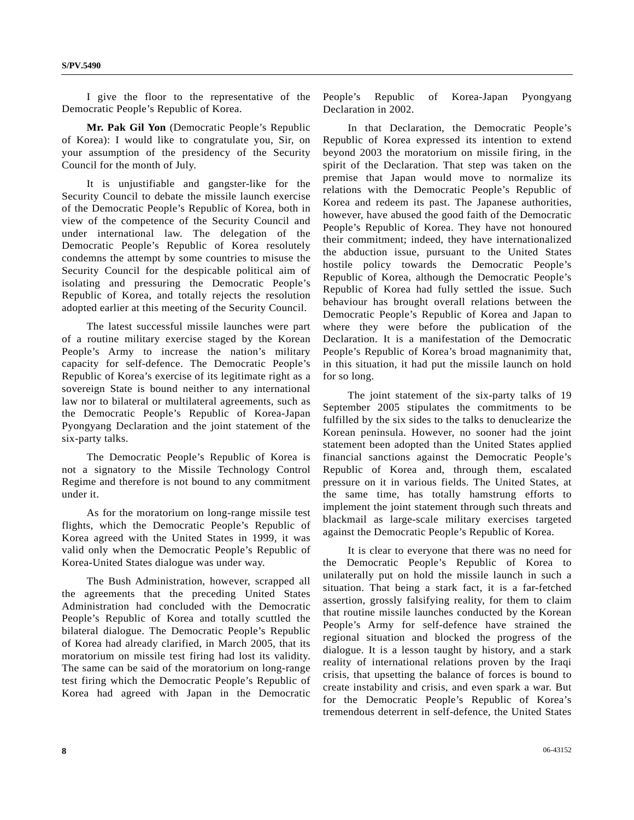I give the floor to the representative of the Democratic People's Republic of Korea.

 **Mr. Pak Gil Yon** (Democratic People's Republic of Korea): I would like to congratulate you, Sir, on your assumption of the presidency of the Security Council for the month of July.

 It is unjustifiable and gangster-like for the Security Council to debate the missile launch exercise of the Democratic People's Republic of Korea, both in view of the competence of the Security Council and under international law. The delegation of the Democratic People's Republic of Korea resolutely condemns the attempt by some countries to misuse the Security Council for the despicable political aim of isolating and pressuring the Democratic People's Republic of Korea, and totally rejects the resolution adopted earlier at this meeting of the Security Council.

 The latest successful missile launches were part of a routine military exercise staged by the Korean People's Army to increase the nation's military capacity for self-defence. The Democratic People's Republic of Korea's exercise of its legitimate right as a sovereign State is bound neither to any international law nor to bilateral or multilateral agreements, such as the Democratic People's Republic of Korea-Japan Pyongyang Declaration and the joint statement of the six-party talks.

 The Democratic People's Republic of Korea is not a signatory to the Missile Technology Control Regime and therefore is not bound to any commitment under it.

 As for the moratorium on long-range missile test flights, which the Democratic People's Republic of Korea agreed with the United States in 1999, it was valid only when the Democratic People's Republic of Korea-United States dialogue was under way.

 The Bush Administration, however, scrapped all the agreements that the preceding United States Administration had concluded with the Democratic People's Republic of Korea and totally scuttled the bilateral dialogue. The Democratic People's Republic of Korea had already clarified, in March 2005, that its moratorium on missile test firing had lost its validity. The same can be said of the moratorium on long-range test firing which the Democratic People's Republic of Korea had agreed with Japan in the Democratic

People's Republic of Korea-Japan Pyongyang Declaration in 2002.

 In that Declaration, the Democratic People's Republic of Korea expressed its intention to extend beyond 2003 the moratorium on missile firing, in the spirit of the Declaration. That step was taken on the premise that Japan would move to normalize its relations with the Democratic People's Republic of Korea and redeem its past. The Japanese authorities, however, have abused the good faith of the Democratic People's Republic of Korea. They have not honoured their commitment; indeed, they have internationalized the abduction issue, pursuant to the United States hostile policy towards the Democratic People's Republic of Korea, although the Democratic People's Republic of Korea had fully settled the issue. Such behaviour has brought overall relations between the Democratic People's Republic of Korea and Japan to where they were before the publication of the Declaration. It is a manifestation of the Democratic People's Republic of Korea's broad magnanimity that, in this situation, it had put the missile launch on hold for so long.

 The joint statement of the six-party talks of 19 September 2005 stipulates the commitments to be fulfilled by the six sides to the talks to denuclearize the Korean peninsula. However, no sooner had the joint statement been adopted than the United States applied financial sanctions against the Democratic People's Republic of Korea and, through them, escalated pressure on it in various fields. The United States, at the same time, has totally hamstrung efforts to implement the joint statement through such threats and blackmail as large-scale military exercises targeted against the Democratic People's Republic of Korea.

 It is clear to everyone that there was no need for the Democratic People's Republic of Korea to unilaterally put on hold the missile launch in such a situation. That being a stark fact, it is a far-fetched assertion, grossly falsifying reality, for them to claim that routine missile launches conducted by the Korean People's Army for self-defence have strained the regional situation and blocked the progress of the dialogue. It is a lesson taught by history, and a stark reality of international relations proven by the Iraqi crisis, that upsetting the balance of forces is bound to create instability and crisis, and even spark a war. But for the Democratic People's Republic of Korea's tremendous deterrent in self-defence, the United States